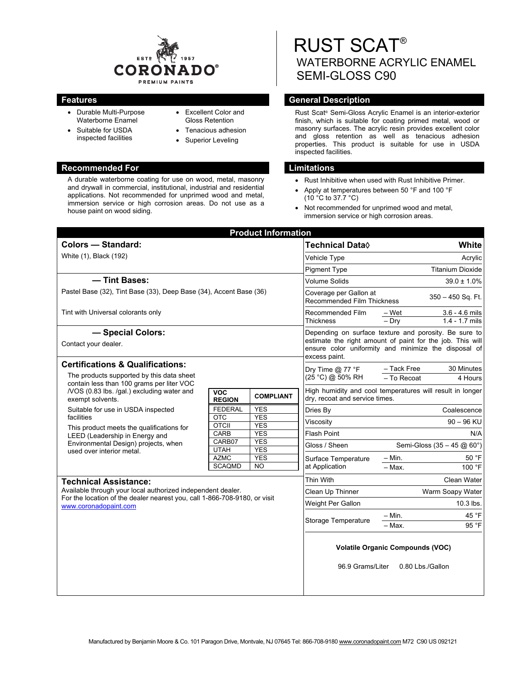

- Durable Multi-Purpose Waterborne Enamel
- Suitable for USDA inspected facilities
- Excellent Color and Gloss Retention
- Tenacious adhesion
- Superior Leveling

## **Recommended For Limitations Limitations**

A durable waterborne coating for use on wood, metal, masonry and drywall in commercial, institutional, industrial and residential applications. Not recommended for unprimed wood and metal, immersion service or high corrosion areas. Do not use as a house paint on wood siding.

RUST SCAT® WATERBORNE ACRYLIC ENAMEL SEMI-GLOSS C90

# **Features General Description Contract Description**

Rust Scat® Semi-Gloss Acrylic Enamel is an interior-exterior finish, which is suitable for coating primed metal, wood or masonry surfaces. The acrylic resin provides excellent color and gloss retention as well as tenacious adhesion properties. This product is suitable for use in USDA inspected facilities.

- Rust Inhibitive when used with Rust Inhibitive Primer.
- Apply at temperatures between 50 °F and 100 °F (10 °C to 37.7 °C)
- Not recommended for unprimed wood and metal, immersion service or high corrosion areas.

| <b>Product Information</b>                                                                                                                                        |                                                     |                                                                                                                                                                                             |                                                                                       |  |
|-------------------------------------------------------------------------------------------------------------------------------------------------------------------|-----------------------------------------------------|---------------------------------------------------------------------------------------------------------------------------------------------------------------------------------------------|---------------------------------------------------------------------------------------|--|
|                                                                                                                                                                   |                                                     | Technical Data◊                                                                                                                                                                             | <b>White</b>                                                                          |  |
| White (1), Black (192)                                                                                                                                            |                                                     | Vehicle Type                                                                                                                                                                                | Acrylic                                                                               |  |
|                                                                                                                                                                   |                                                     | <b>Pigment Type</b>                                                                                                                                                                         | <b>Titanium Dioxide</b>                                                               |  |
| - Tint Bases:                                                                                                                                                     |                                                     | <b>Volume Solids</b>                                                                                                                                                                        | $39.0 \pm 1.0\%$                                                                      |  |
| Pastel Base (32), Tint Base (33), Deep Base (34), Accent Base (36)                                                                                                |                                                     |                                                                                                                                                                                             | $350 - 450$ Sq. Ft.                                                                   |  |
| Tint with Universal colorants only                                                                                                                                |                                                     | Recommended Film<br>Thickness                                                                                                                                                               | $3.6 - 4.6$ mils<br>– Wet                                                             |  |
|                                                                                                                                                                   |                                                     |                                                                                                                                                                                             | $1.4 - 1.7$ mils<br>$-$ Dry                                                           |  |
| - Special Colors:<br>Contact your dealer.                                                                                                                         |                                                     | Depending on surface texture and porosity. Be sure to<br>estimate the right amount of paint for the job. This will<br>ensure color uniformity and minimize the disposal of<br>excess paint. |                                                                                       |  |
| <b>Certifications &amp; Qualifications:</b><br>The products supported by this data sheet<br>contain less than 100 grams per liter VOC                             |                                                     | Dry Time $@$ 77 °F<br>(25 °C) @ 50% RH                                                                                                                                                      | - Tack Free<br>30 Minutes                                                             |  |
|                                                                                                                                                                   |                                                     |                                                                                                                                                                                             | - To Recoat<br>4 Hours                                                                |  |
| <b>VOC</b><br><b>REGION</b>                                                                                                                                       | <b>COMPLIANT</b>                                    | High humidity and cool temperatures will result in longer<br>dry, recoat and service times.                                                                                                 |                                                                                       |  |
| <b>FEDERAL</b>                                                                                                                                                    | <b>YES</b>                                          | Dries By                                                                                                                                                                                    | Coalescence                                                                           |  |
|                                                                                                                                                                   |                                                     | Viscositv                                                                                                                                                                                   | $90 - 96$ KU                                                                          |  |
| <b>CARB</b>                                                                                                                                                       | <b>YES</b>                                          | <b>Flash Point</b>                                                                                                                                                                          | N/A                                                                                   |  |
|                                                                                                                                                                   |                                                     | Gloss / Sheen<br>Semi-Gloss (35 - 45 $@$ 60°)                                                                                                                                               |                                                                                       |  |
| <b>AZMC</b>                                                                                                                                                       | <b>YES</b>                                          | Surface Temperature<br>at Application                                                                                                                                                       | $-$ Min.<br>50 °F                                                                     |  |
| <b>SCAQMD</b>                                                                                                                                                     | <b>NO</b>                                           |                                                                                                                                                                                             | $-$ Max.<br>100 °F                                                                    |  |
| <b>Technical Assistance:</b>                                                                                                                                      |                                                     |                                                                                                                                                                                             | Clean Water                                                                           |  |
| Available through your local authorized independent dealer.<br>For the location of the dealer nearest you, call 1-866-708-9180, or visit<br>www.coronadopaint.com |                                                     | Clean Up Thinner                                                                                                                                                                            | Warm Soapy Water                                                                      |  |
|                                                                                                                                                                   |                                                     | Weight Per Gallon                                                                                                                                                                           | 10.3 lbs.                                                                             |  |
|                                                                                                                                                                   |                                                     | Storage Temperature                                                                                                                                                                         | $- Min.$<br>45 °F<br>- Max.<br>95 °F                                                  |  |
|                                                                                                                                                                   |                                                     |                                                                                                                                                                                             | <b>Volatile Organic Compounds (VOC)</b><br>0.80 Lbs./Gallon                           |  |
|                                                                                                                                                                   | <b>OTC</b><br><b>OTCII</b><br>CARB07<br><b>UTAH</b> | <b>YES</b><br><b>YES</b><br><b>YES</b><br><b>YES</b>                                                                                                                                        | Coverage per Gallon at<br>Recommended Film Thickness<br>Thin With<br>96.9 Grams/Liter |  |